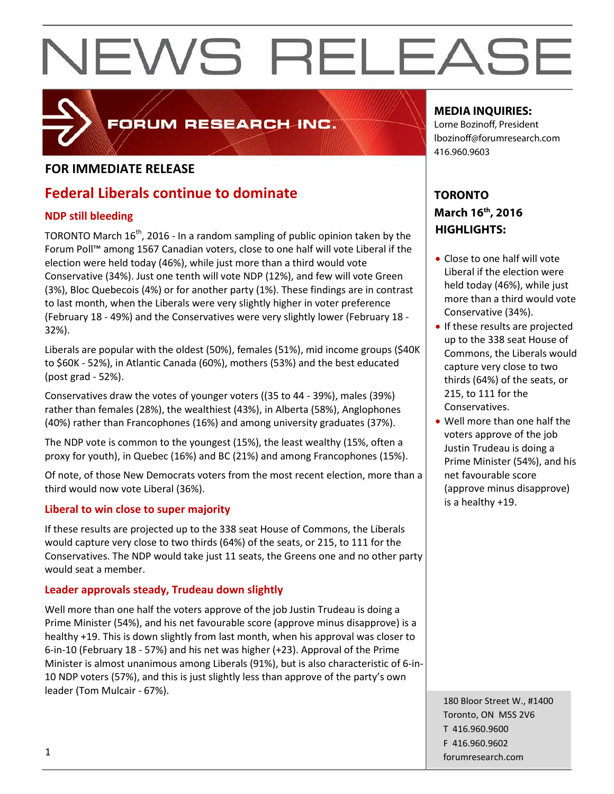

### FORUM RESEARCH INC.

#### **FOR IMMEDIATE RELEASE**

### **Federal Liberals continue to dominate**

#### **NDP still bleeding**

TORONTO March 16<sup>th</sup>, 2016 - In a random sampling of public opinion taken by the Forum Poll™ among 1567 Canadian voters, close to one half will vote Liberal if the election were held today (46%), while just more than a third would vote Conservative (34%). Just one tenth will vote NDP (12%), and few will vote Green (3%), Bloc Quebecois (4%) or for another party (1%). These findings are in contrast to last month, when the Liberals were very slightly higher in voter preference (February 18 - 49%) and the Conservatives were very slightly lower (February 18 - 32%).

Liberals are popular with the oldest (50%), females (51%), mid income groups (\$40K to \$60K - 52%), in Atlantic Canada (60%), mothers (53%) and the best educated (post grad - 52%).

Conservatives draw the votes of younger voters ((35 to 44 - 39%), males (39%) rather than females (28%), the wealthiest (43%), in Alberta (58%), Anglophones (40%) rather than Francophones (16%) and among university graduates (37%).

The NDP vote is common to the youngest (15%), the least wealthy (15%, often a proxy for youth), in Quebec (16%) and BC (21%) and among Francophones (15%).

Of note, of those New Democrats voters from the most recent election, more than a third would now vote Liberal (36%).

#### **Liberal to win close to super majority**

If these results are projected up to the 338 seat House of Commons, the Liberals would capture very close to two thirds (64%) of the seats, or 215, to 111 for the Conservatives. The NDP would take just 11 seats, the Greens one and no other party would seat a member.

#### **Leader approvals steady, Trudeau down slightly**

Well more than one half the voters approve of the job Justin Trudeau is doing a Prime Minister (54%), and his net favourable score (approve minus disapprove) is a healthy +19. This is down slightly from last month, when his approval was closer to 6-in-10 (February 18 - 57%) and his net was higher (+23). Approval of the Prime Minister is almost unanimous among Liberals (91%), but is also characteristic of 6-in-10 NDP voters (57%), and this is just slightly less than approve of the party's own leader (Tom Mulcair - 67%).

#### **MEDIA INQUIRIES:**

Lorne Bozinoff, President lbozinoff@forumresearch.com 416.960.9603

#### **TORONTO March 16th, 2016 HIGHLIGHTS:**

- Close to one half will vote Liberal if the election were held today (46%), while just more than a third would vote Conservative (34%).
- If these results are projected up to the 338 seat House of Commons, the Liberals would capture very close to two thirds (64%) of the seats, or 215, to 111 for the Conservatives.
- Well more than one half the voters approve of the job Justin Trudeau is doing a Prime Minister (54%), and his net favourable score (approve minus disapprove) is a healthy +19.

180 Bloor Street W., #1400 Toronto, ON M5S 2V6 T 416.960.9600 F 416.960.9602 example to the contract of the contract of the contract of the contract of the contract of the contract of the contract of the contract of the contract of the contract of the contract of the contract of the contract of the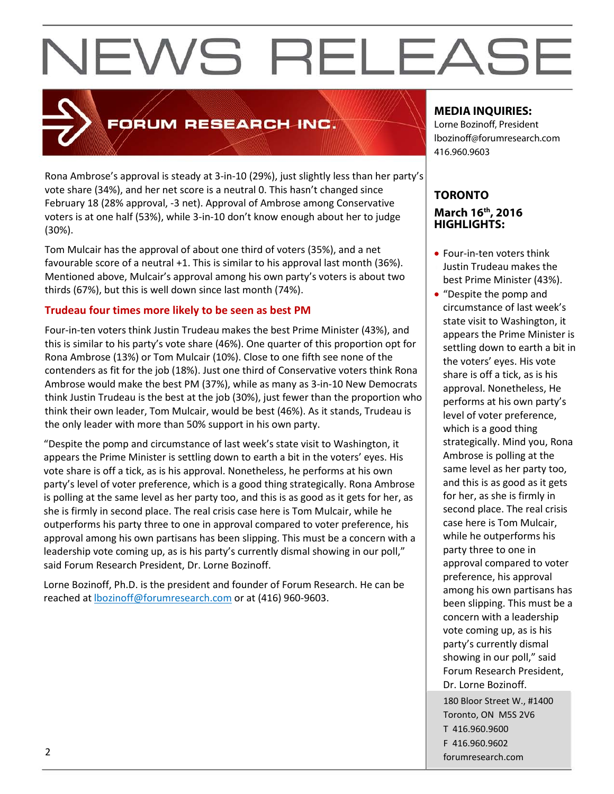### FORUM RESEARCH INC.

Rona Ambrose's approval is steady at 3-in-10 (29%), just slightly less than her party's vote share (34%), and her net score is a neutral 0. This hasn't changed since February 18 (28% approval, -3 net). Approval of Ambrose among Conservative voters is at one half (53%), while 3-in-10 don't know enough about her to judge (30%).

Tom Mulcair has the approval of about one third of voters (35%), and a net favourable score of a neutral +1. This is similar to his approval last month (36%). Mentioned above, Mulcair's approval among his own party's voters is about two thirds (67%), but this is well down since last month (74%).

#### **Trudeau four times more likely to be seen as best PM**

Four-in-ten voters think Justin Trudeau makes the best Prime Minister (43%), and this is similar to his party's vote share (46%). One quarter of this proportion opt for Rona Ambrose (13%) or Tom Mulcair (10%). Close to one fifth see none of the contenders as fit for the job (18%). Just one third of Conservative voters think Rona Ambrose would make the best PM (37%), while as many as 3-in-10 New Democrats think Justin Trudeau is the best at the job (30%), just fewer than the proportion who think their own leader, Tom Mulcair, would be best (46%). As it stands, Trudeau is the only leader with more than 50% support in his own party.

"Despite the pomp and circumstance of last week's state visit to Washington, it appears the Prime Minister is settling down to earth a bit in the voters' eyes. His vote share is off a tick, as is his approval. Nonetheless, he performs at his own party's level of voter preference, which is a good thing strategically. Rona Ambrose is polling at the same level as her party too, and this is as good as it gets for her, as she is firmly in second place. The real crisis case here is Tom Mulcair, while he outperforms his party three to one in approval compared to voter preference, his approval among his own partisans has been slipping. This must be a concern with a leadership vote coming up, as is his party's currently dismal showing in our poll," said Forum Research President, Dr. Lorne Bozinoff.

Lorne Bozinoff, Ph.D. is the president and founder of Forum Research. He can be reached at [lbozinoff@forumresearch.com](mailto:lbozinoff@forumresearch.com) or at (416) 960-9603.

#### **MEDIA INQUIRIES:**

Lorne Bozinoff, President lbozinoff@forumresearch.com 416.960.9603

#### **TORONTO March 16th, 2016 HIGHLIGHTS:**

- Four-in-ten voters think Justin Trudeau makes the best Prime Minister (43%).
- 180 Bloor Street W., #1400 Toronto, ON M5S 2V6 T 416.960.9600 F 416.960.9602 example to the contract of the contract of the contract of the contract of the contract of the contract of the contract of the contract of the contract of the contract of the contract of the contract of the contract of the • "Despite the pomp and circumstance of last week's state visit to Washington, it appears the Prime Minister is settling down to earth a bit in the voters' eyes. His vote share is off a tick, as is his approval. Nonetheless, He performs at his own party's level of voter preference, which is a good thing strategically. Mind you, Rona Ambrose is polling at the same level as her party too, and this is as good as it gets for her, as she is firmly in second place. The real crisis case here is Tom Mulcair, while he outperforms his party three to one in approval compared to voter preference, his approval among his own partisans has been slipping. This must be a concern with a leadership vote coming up, as is his party's currently dismal showing in our poll," said Forum Research President, Dr. Lorne Bozinoff.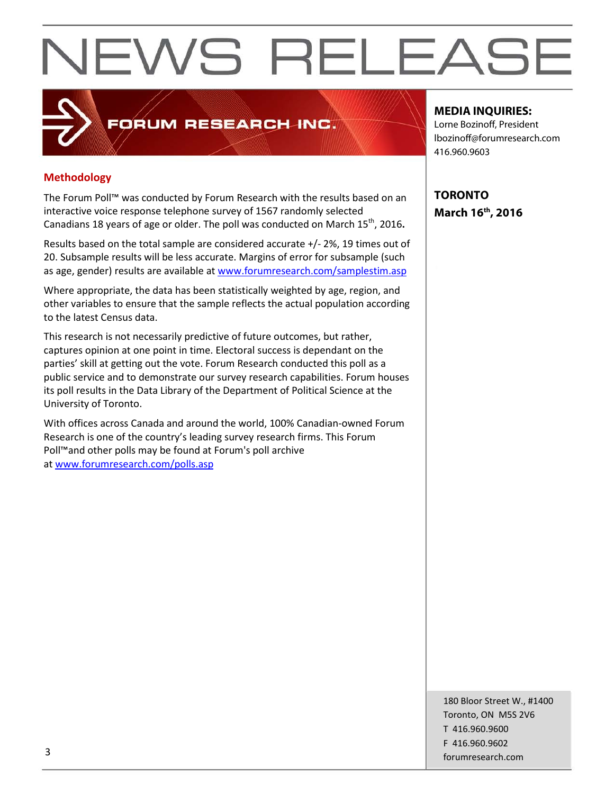#### **Methodology**

The Forum Poll™ was conducted by Forum Research with the results based on an interactive voice response telephone survey of 1567 randomly selected Canadians 18 years of age or older. The poll was conducted on March 15<sup>th</sup>, 2016**.** 

FORUM RESEARCH INC.

Results based on the total sample are considered accurate +/- 2%, 19 times out of 20. Subsample results will be less accurate. Margins of error for subsample (such as age, gender) results are available at [www.forumresearch.com/samplestim.asp](http://www.forumresearch.com/samplestim.asp)

Where appropriate, the data has been statistically weighted by age, region, and other variables to ensure that the sample reflects the actual population according to the latest Census data.

This research is not necessarily predictive of future outcomes, but rather, captures opinion at one point in time. Electoral success is dependant on the parties' skill at getting out the vote. Forum Research conducted this poll as a public service and to demonstrate our survey research capabilities. Forum houses its poll results in the Data Library of the Department of Political Science at the University of Toronto.

With offices across Canada and around the world, 100% Canadian-owned Forum Research is one of the country's leading survey research firms. This Forum Poll™and other polls may be found at Forum's poll archive at [www.forumresearch.com/polls.asp](http://www.forumresearch.com/polls.asp)

**MEDIA INQUIRIES:**

Lorne Bozinoff, President lbozinoff@forumresearch.com 416.960.9603

**TORONTO March 16th, 2016**

180 Bloor Street W., #1400 Toronto, ON M5S 2V6 T 416.960.9600 F 416.960.9602 for the contract of the contract of the contract of the contract of the contract of the contract of the contract of the contract of the contract of the contract of the contract of the contract of the contract of the contra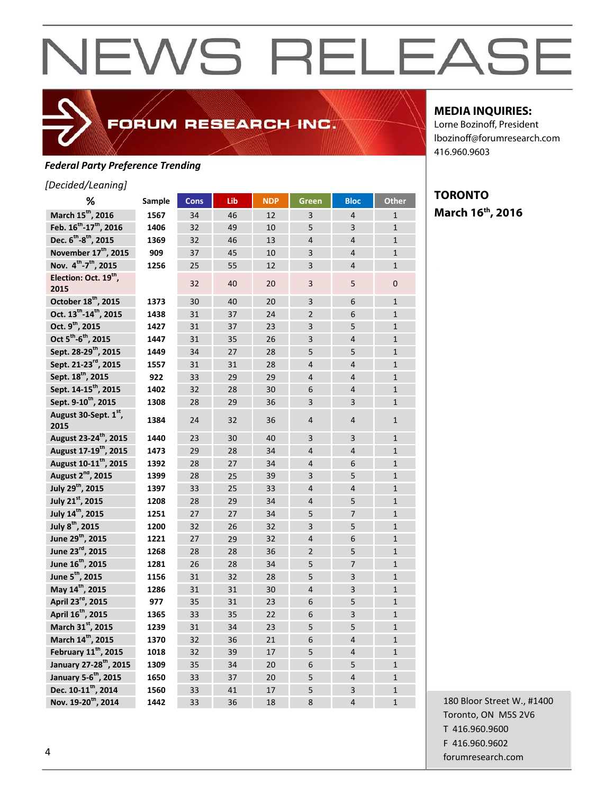### *Federal Party Preference Trending*

#### *[Decided/Leaning]*

| ℅                                              | Sample | <b>Cons</b> | Lib | <b>NDP</b> | <b>Green</b>   | <b>Bloc</b>    | <b>Other</b>   |
|------------------------------------------------|--------|-------------|-----|------------|----------------|----------------|----------------|
| March 15 <sup>th</sup> , 2016                  | 1567   | 34          | 46  | 12         | 3              | $\overline{4}$ | $\mathbf{1}$   |
| Feb. 16 <sup>th</sup> -17 <sup>th</sup> , 2016 | 1406   | 32          | 49  | 10         | 5              | 3              | $\mathbf{1}$   |
| Dec. 6 <sup>th</sup> -8 <sup>th</sup> , 2015   | 1369   | 32          | 46  | 13         | $\overline{4}$ | $\overline{4}$ | $\mathbf{1}$   |
| November 17 <sup>th</sup> , 2015               | 909    | 37          | 45  | 10         | 3              | $\overline{4}$ | $\mathbf{1}$   |
| Nov. 4 <sup>th</sup> -7 <sup>th</sup> , 2015   | 1256   | 25          | 55  | 12         | $\overline{3}$ | $\overline{4}$ | $\mathbf{1}$   |
| Election: Oct. 19 <sup>th</sup> ,<br>2015      |        | 32          | 40  | 20         | $\overline{3}$ | 5              | $\overline{0}$ |
| October 18 <sup>th</sup> , 2015                | 1373   | 30          | 40  | 20         | 3              | 6              | $\mathbf{1}$   |
| Oct. 13 <sup>th</sup> -14 <sup>th</sup> , 2015 | 1438   | 31          | 37  | 24         | $\overline{2}$ | 6              | $\mathbf{1}$   |
| Oct. 9 <sup>th</sup> , 2015                    | 1427   | 31          | 37  | 23         | 3              | 5              | $\mathbf{1}$   |
| Oct 5 <sup>th</sup> -6 <sup>th</sup> , 2015    | 1447   | 31          | 35  | 26         | 3              | $\overline{4}$ | $\mathbf{1}$   |
| Sept. 28-29 <sup>th</sup> , 2015               | 1449   | 34          | 27  | 28         | 5              | 5              | $\mathbf{1}$   |
| Sept. 21-23 <sup>rd</sup> , 2015               | 1557   | 31          | 31  | 28         | $\overline{4}$ | $\overline{4}$ | $\mathbf{1}$   |
| Sept. 18 <sup>th</sup> , 2015                  | 922    | 33          | 29  | 29         | $\overline{4}$ | $\overline{4}$ | $\mathbf 1$    |
| Sept. 14-15 <sup>th</sup> , 2015               | 1402   | 32          | 28  | 30         | 6              | $\overline{4}$ | $\mathbf{1}$   |
| Sept. 9-10 <sup>th</sup> , 2015                | 1308   | 28          | 29  | 36         | 3              | 3              | $\mathbf{1}$   |
| August 30-Sept. 1st,<br>2015                   | 1384   | 24          | 32  | 36         | 4              | $\overline{4}$ | $\mathbf{1}$   |
| August 23-24 <sup>th</sup> , 2015              | 1440   | 23          | 30  | 40         | 3              | 3              | $\mathbf{1}$   |
| August 17-19 <sup>th</sup> , 2015              | 1473   | 29          | 28  | 34         | $\overline{4}$ | $\overline{4}$ | $\mathbf{1}$   |
| August 10-11 <sup>th</sup> , 2015              | 1392   | 28          | 27  | 34         | 4              | 6              | $\mathbf{1}$   |
| August 2 <sup>nd</sup> , 2015                  | 1399   | 28          | 25  | 39         | 3              | 5              | $\mathbf{1}$   |
| July 29 <sup>th</sup> , 2015                   | 1397   | 33          | 25  | 33         | 4              | $\overline{4}$ | $\mathbf{1}$   |
| July 21st, 2015                                | 1208   | 28          | 29  | 34         | $\overline{4}$ | 5              | $\mathbf{1}$   |
| July 14 <sup>th</sup> , 2015                   | 1251   | 27          | 27  | 34         | 5              | $\overline{7}$ | $\mathbf{1}$   |
| July 8 <sup>th</sup> , 2015                    | 1200   | 32          | 26  | 32         | 3              | 5              | $\mathbf{1}$   |
| June 29 <sup>th</sup> , 2015                   | 1221   | 27          | 29  | 32         | 4              | 6              | $\mathbf{1}$   |
| June 23rd, 2015                                | 1268   | 28          | 28  | 36         | $\overline{2}$ | 5              | $\mathbf{1}$   |
| June 16 <sup>th</sup> , 2015                   | 1281   | 26          | 28  | 34         | 5              | $\overline{7}$ | $\mathbf 1$    |
| June 5 <sup>th</sup> , 2015                    | 1156   | 31          | 32  | 28         | 5              | 3              | $\mathbf{1}$   |
| May 14 <sup>th</sup> , 2015                    | 1286   | 31          | 31  | 30         | $\overline{4}$ | 3              | $\mathbf{1}$   |
| April 23 <sup>rd</sup> , 2015                  | 977    | 35          | 31  | 23         | 6              | 5              | $\mathbf{1}$   |
| April 16 <sup>th</sup> , 2015                  | 1365   | 33          | 35  | 22         | 6              | 3              | $\mathbf{1}$   |
| March 31st, 2015                               | 1239   | 31          | 34  | 23         | 5              | 5              | $\mathbf{1}$   |
| March 14 <sup>th</sup> , 2015                  | 1370   | 32          | 36  | 21         | 6              | $\overline{4}$ | $\mathbf{1}$   |
| February 11 <sup>th</sup> , 2015               | 1018   | 32          | 39  | 17         | 5              | $\overline{4}$ | $\mathbf{1}$   |
| January 27-28 <sup>th</sup> , 2015             | 1309   | 35          | 34  | 20         | 6              | 5              | $\mathbf{1}$   |
| January 5-6 <sup>th</sup> , 2015               | 1650   | 33          | 37  | 20         | 5              | $\overline{4}$ | $\mathbf{1}$   |
| Dec. 10-11 <sup>th</sup> , 2014                | 1560   | 33          | 41  | 17         | 5              | 3              | $\mathbf{1}$   |
| Nov. 19-20 <sup>th</sup> , 2014                | 1442   | 33          | 36  | 18         | 8              | $\overline{4}$ | $\overline{1}$ |

FORUM RESEARCH INC.

#### **MEDIA INQUIRIES:**

Lorne Bozinoff, President lbozinoff@forumresearch.com 416.960.9603

#### **TORONTO March 16th, 2016**

180 Bloor Street W., #1400 Toronto, ON M5S 2V6 T 416.960.9600 F 416.960.9602 forumresearch.com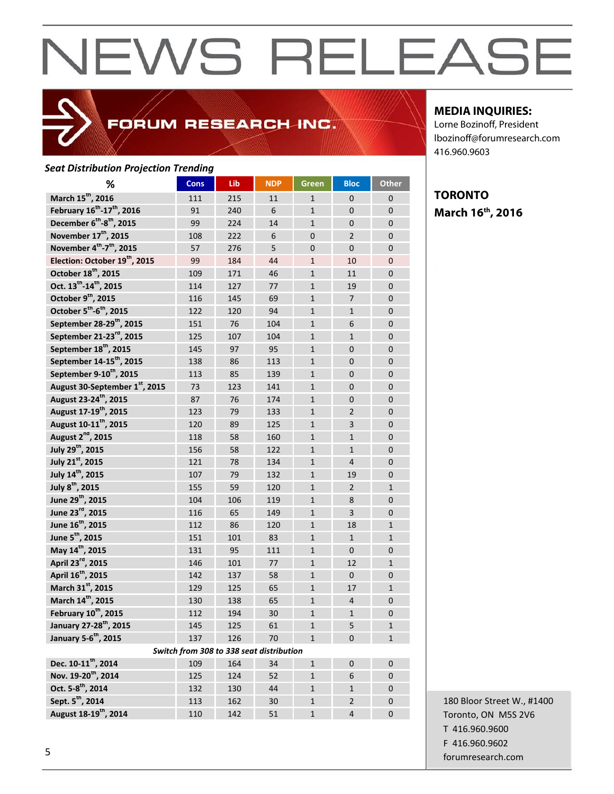### FORUM RESEARCH INC.

#### *Seat Distribution Projection Trending*

| %                                                  | <b>Cons</b>                              | Lib | <b>NDP</b> | Green          | <b>Bloc</b>    | <b>Other</b>   |
|----------------------------------------------------|------------------------------------------|-----|------------|----------------|----------------|----------------|
| March 15 <sup>th</sup> , 2016                      | 111                                      | 215 | 11         | $\mathbf{1}$   | $\mathbf{0}$   | $\mathbf{0}$   |
| February 16 <sup>th</sup> -17 <sup>th</sup> , 2016 | 91                                       | 240 | 6          | $\mathbf{1}$   | $\mathbf{0}$   | $\overline{0}$ |
| December 6 <sup>th</sup> -8 <sup>th</sup> , 2015   | 99                                       | 224 | 14         | $\mathbf{1}$   | $\mathbf{0}$   | $\mathbf{0}$   |
| November 17 <sup>th</sup> , 2015                   | 108                                      | 222 | 6          | $\Omega$       | $\overline{2}$ | $\overline{0}$ |
| November 4th-7 <sup>th</sup> , 2015                | 57                                       | 276 | 5          | $\overline{0}$ | $\Omega$       | $\overline{0}$ |
| Election: October 19 <sup>th</sup> , 2015          | 99                                       | 184 | 44         | $\mathbf{1}$   | 10             | $\overline{0}$ |
| October 18 <sup>th</sup> , 2015                    | 109                                      | 171 | 46         | $\mathbf{1}$   | 11             | $\overline{0}$ |
| Oct. 13 <sup>th</sup> -14 <sup>th</sup> , 2015     | 114                                      | 127 | 77         | $\mathbf{1}$   | 19             | $\overline{0}$ |
| October 9th, 2015                                  | 116                                      | 145 | 69         | $\mathbf{1}$   | $\overline{7}$ | $\overline{0}$ |
| October 5 <sup>th</sup> -6 <sup>th</sup> , 2015    | 122                                      | 120 | 94         | $\mathbf{1}$   | $\mathbf{1}$   | $\overline{0}$ |
| September 28-29 <sup>th</sup> , 2015               | 151                                      | 76  | 104        | $\mathbf{1}$   | 6              | $\overline{0}$ |
| September 21-23 <sup>rd</sup> , 2015               | 125                                      | 107 | 104        | $\mathbf{1}$   | $\mathbf{1}$   | $\overline{0}$ |
| September 18 <sup>th</sup> , 2015                  | 145                                      | 97  | 95         | $\mathbf{1}$   | $\mathbf{0}$   | $\mathbf 0$    |
| September 14-15 <sup>th</sup> , 2015               | 138                                      | 86  | 113        | $\mathbf{1}$   | $\mathbf{0}$   | $\mathbf{0}$   |
| September 9-10 <sup>th</sup> , 2015                | 113                                      | 85  | 139        | $\mathbf{1}$   | $\Omega$       | $\mathbf{0}$   |
| August 30-September 1st, 2015                      | 73                                       | 123 | 141        | $\mathbf{1}$   | $\Omega$       | $\overline{0}$ |
| August 23-24 <sup>th</sup> , 2015                  | 87                                       | 76  | 174        | $\mathbf{1}$   | $\overline{0}$ | $\overline{0}$ |
| August 17-19 <sup>th</sup> , 2015                  | 123                                      | 79  | 133        | $\mathbf{1}$   | $\overline{2}$ | $\overline{0}$ |
| August 10-11 <sup>th</sup> , 2015                  | 120                                      | 89  | 125        | $\mathbf{1}$   | $\overline{3}$ | $\overline{0}$ |
| August 2 <sup>nd</sup> , 2015                      | 118                                      | 58  | 160        | $\mathbf{1}$   | $\mathbf{1}$   | $\overline{0}$ |
| July 29 <sup>th</sup> , 2015                       | 156                                      | 58  | 122        | $\mathbf{1}$   | $\mathbf{1}$   | $\overline{0}$ |
| July 21st, 2015                                    | 121                                      | 78  | 134        | $\mathbf{1}$   | $\overline{4}$ | $\overline{0}$ |
| July 14 <sup>th</sup> , 2015                       | 107                                      | 79  | 132        | $\mathbf{1}$   | 19             | $\overline{0}$ |
| July 8 <sup>th</sup> , 2015                        | 155                                      | 59  | 120        | $\mathbf{1}$   | $\overline{2}$ | $\mathbf{1}$   |
| June 29 <sup>th</sup> , 2015                       | 104                                      | 106 | 119        | $\mathbf{1}$   | 8              | $\mathbf{0}$   |
| June 23 <sup>rd</sup> , 2015                       | 116                                      | 65  | 149        | $\mathbf{1}$   | 3              | $\overline{0}$ |
| June 16 <sup>th</sup> , 2015                       | 112                                      | 86  | 120        | $\mathbf{1}$   | 18             | $\mathbf{1}$   |
| June 5 <sup>th</sup> , 2015                        | 151                                      | 101 | 83         | $\mathbf{1}$   | $\mathbf{1}$   | $\mathbf{1}$   |
| May 14 <sup>th</sup> , 2015                        | 131                                      | 95  | 111        | $\mathbf{1}$   | $\overline{0}$ | $\overline{0}$ |
| April 23rd, 2015                                   | 146                                      | 101 | 77         | $\mathbf{1}$   | 12             | $\mathbf{1}$   |
| April 16 <sup>th</sup> , 2015                      | 142                                      | 137 | 58         | $\mathbf{1}$   | $\Omega$       | $\overline{0}$ |
| March 31st, 2015                                   | 129                                      | 125 | 65         | $\mathbf{1}$   | 17             | $\mathbf{1}$   |
| March 14 <sup>th</sup> , 2015                      | 130                                      | 138 | 65         | $\mathbf{1}$   | 4              | $\overline{0}$ |
| February 10 <sup>th</sup> , 2015                   | 112                                      | 194 | 30         | $\mathbf{1}$   | $\mathbf{1}$   | $\overline{0}$ |
| January 27-28 <sup>th</sup> , 2015                 | 145                                      | 125 | 61         | 1              | 5              | 1              |
| January 5-6 <sup>th</sup> , 2015                   | 137                                      | 126 | 70         | $\mathbf{1}$   | $\mathbf{0}$   | $\mathbf{1}$   |
|                                                    | Switch from 308 to 338 seat distribution |     |            |                |                |                |
| Dec. 10-11 <sup>th</sup> , 2014                    | 109                                      | 164 | 34         | $\mathbf{1}$   | 0              | $\mathbf 0$    |
| Nov. 19-20 <sup>th</sup> , 2014                    | 125                                      | 124 | 52         | $\mathbf{1}$   | 6              | $\mathbf 0$    |
| Oct. 5-8 <sup>th</sup> , 2014                      | 132                                      | 130 | 44         | $\mathbf{1}$   | 1              | $\mathbf 0$    |
| Sept. 5 <sup>th</sup> , 2014                       | 113                                      | 162 | 30         | 1              | $\overline{2}$ | 0              |
| August 18-19 <sup>th</sup> , 2014                  | 110                                      | 142 | 51         | $\mathbf{1}$   | $\overline{4}$ | 0              |

#### **MEDIA INQUIRIES:**

Lorne Bozinoff, President lbozinoff@forumresearch.com 416.960.9603

#### **TORONTO March 16th, 2016**

180 Bloor Street W., #1400 Toronto, ON M5S 2V6 T 416.960.9600 F 416.960.9602 forumresearch.com 5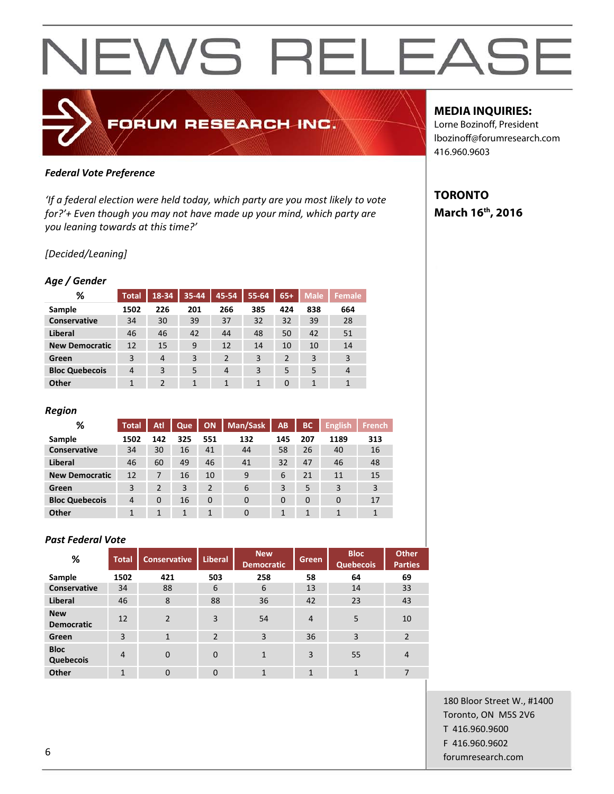### FORUM RESEARCH INC.

#### *Federal Vote Preference*

*'If a federal election were held today, which party are you most likely to vote for?'+ Even though you may not have made up your mind, which party are you leaning towards at this time?'*

#### *[Decided/Leaning]*

#### *Age / Gender*

| %                     | <b>Total</b>   | 18-34          | 35-44 | 45-54          | 55-64        | $65+$          | <b>Male</b> | <b>Female</b>  |
|-----------------------|----------------|----------------|-------|----------------|--------------|----------------|-------------|----------------|
| Sample                | 1502           | 226            | 201   | 266            | 385          | 424            | 838         | 664            |
| Conservative          | 34             | 30             | 39    | 37             | 32           | 32             | 39          | 28             |
| Liberal               | 46             | 46             | 42    | 44             | 48           | 50             | 42          | 51             |
| <b>New Democratic</b> | 12             | 15             | 9     | 12             | 14           | 10             | 10          | 14             |
| Green                 | 3              | $\overline{4}$ | 3     | $\overline{2}$ | 3            | $\overline{2}$ | 3           | $\overline{3}$ |
| <b>Bloc Quebecois</b> | $\overline{4}$ | 3              | 5     | 4              | 3            | 5              | 5           | 4              |
| Other                 | $\mathbf{1}$   | $\overline{2}$ | 1     | 1              | $\mathbf{1}$ | $\Omega$       | 1           | 1              |

#### *Region*

| %                     | <b>Total</b>   | Atl      | Que | ON       | Man/Sask | <b>AB</b> | <b>BC</b> | English <sup>1</sup> | <b>French</b> |
|-----------------------|----------------|----------|-----|----------|----------|-----------|-----------|----------------------|---------------|
| Sample                | 1502           | 142      | 325 | 551      | 132      | 145       | 207       | 1189                 | 313           |
| <b>Conservative</b>   | 34             | 30       | 16  | 41       | 44       | 58        | 26        | 40                   | 16            |
| Liberal               | 46             | 60       | 49  | 46       | 41       | 32        | 47        | 46                   | 48            |
| <b>New Democratic</b> | 12             | 7        | 16  | 10       | 9        | 6         | 21        | 11                   | 15            |
| Green                 | 3              | 2        | 3   | 2        | 6        | 3         | 5         | 3                    | 3             |
| <b>Bloc Quebecois</b> | $\overline{4}$ | $\Omega$ | 16  | $\Omega$ | $\Omega$ | $\Omega$  | $\Omega$  | $\Omega$             | 17            |
| Other                 |                |          | 1   | 1        | $\Omega$ | 1         |           |                      | 1             |

#### *Past Federal Vote*

| %                               | <b>Total</b>   | <b>Conservative</b> | <b>Liberal</b> | <b>New</b><br><b>Democratic</b> | Green          | <b>Bloc</b><br><b>Quebecois</b> | <b>Other</b><br><b>Parties</b> |
|---------------------------------|----------------|---------------------|----------------|---------------------------------|----------------|---------------------------------|--------------------------------|
| Sample                          | 1502           | 421                 | 503            | 258                             | 58             | 64                              | 69                             |
| Conservative                    | 34             | 88                  | 6              | 6                               | 13             | 14                              | 33                             |
| <b>Liberal</b>                  | 46             | 8                   | 88             | 36                              | 42             | 23                              | 43                             |
| <b>New</b><br><b>Democratic</b> | 12             | $\overline{2}$      | 3              | 54                              | $\overline{4}$ | 5                               | 10                             |
| Green                           | 3              | $\mathbf{1}$        | $\overline{2}$ | 3                               | 36             | $\overline{3}$                  | $\overline{2}$                 |
| <b>Bloc</b><br>Quebecois        | $\overline{4}$ | $\Omega$            | $\Omega$       | 1                               | 3              | 55                              | 4                              |
| Other                           | $\mathbf{1}$   | $\mathbf{0}$        | $\Omega$       | 1                               | $\mathbf{1}$   | 1                               | 7                              |

#### **MEDIA INQUIRIES:**

Lorne Bozinoff, President lbozinoff@forumresearch.com 416.960.9603

#### **TORONTO March 16th, 2016**

180 Bloor Street W., #1400 Toronto, ON M5S 2V6 T 416.960.9600 F 416.960.9602 forumresearch.com 6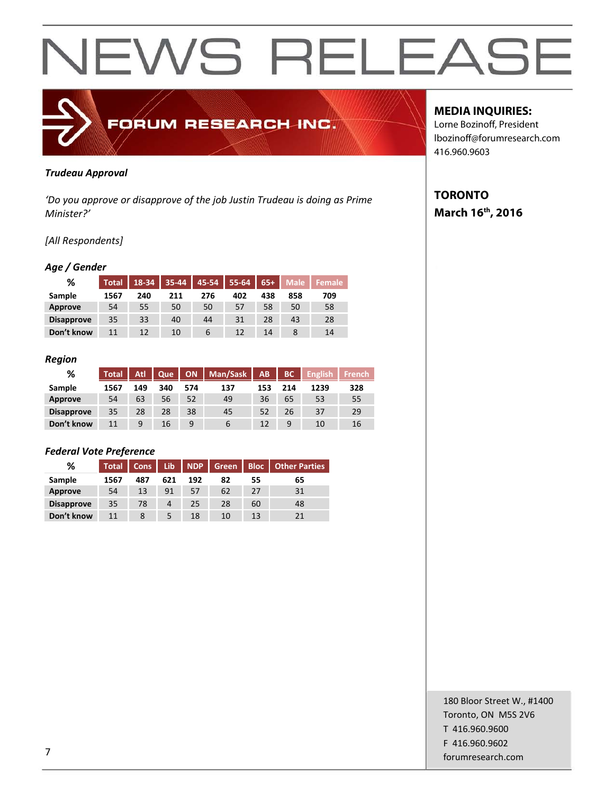

#### *Trudeau Approval*

*'Do you approve or disapprove of the job Justin Trudeau is doing as Prime Minister?'*

#### *[All Respondents]*

#### *Age / Gender*

| %                 | <b>Total</b> | 18-34 | 35-44 | 45-54 | 55-64 | $65+$ | <b>Male</b> | <b>Female</b> |
|-------------------|--------------|-------|-------|-------|-------|-------|-------------|---------------|
| Sample            | 1567         | 240   | 211   | 276   | 402   | 438   | 858         | 709           |
| Approve           | 54           | 55    | 50    | 50    | 57    | 58    | 50          | 58            |
| <b>Disapprove</b> | 35           | 33    | 40    | 44    | 31    | 28    | 43          | 28            |
| Don't know        | 11           | 12    | 10    | 6     | 12    | 14    |             | 14            |

#### *Region*

| %                 | <b>Total</b> | Atl | Que |     | ON   Man/Sask   AB |     | BC  | <b>English</b> | <b>French</b> |
|-------------------|--------------|-----|-----|-----|--------------------|-----|-----|----------------|---------------|
| Sample            | 1567         | 149 | 340 | 574 | 137                | 153 | 214 | 1239           | 328           |
| Approve           | 54           | 63  | 56  | 52  | 49                 | 36  | 65  | 53             | 55            |
| <b>Disapprove</b> | 35           | 28  | 28  | 38  | 45                 | 52  | 26  | 37             | 29            |
| Don't know        | 11           | 9   | 16  | a   | $\mathfrak b$      |     | 9   | 10             | 16            |

#### *Federal Vote Preference*

| %                 | <b>Total</b> | Cons | Lib | <b>NDP</b> | Green | <b>Bloc</b> | <b>Other Parties</b> |
|-------------------|--------------|------|-----|------------|-------|-------------|----------------------|
| Sample            | 1567         | 487  | 621 | 192        | 82    | 55          | 65                   |
| Approve           | 54           | 13   | 91  | 57         | 62    | 27          | 31                   |
| <b>Disapprove</b> | 35           | 78   | 4   | 25         | 28    | 60          | 48                   |
| Don't know        | 11           | 8    |     | 18         | 10    | 13          |                      |

#### **MEDIA INQUIRIES:**

Lorne Bozinoff, President lbozinoff@forumresearch.com 416.960.9603

#### **TORONTO March 16th, 2016**

180 Bloor Street W., #1400 Toronto, ON M5S 2V6 T 416.960.9600 F 416.960.9602 for the contract of the contract of the contract of the contract of the contract of the contract of the contract of the contract of the contract of the contract of the contract of the contract of the contract of the contra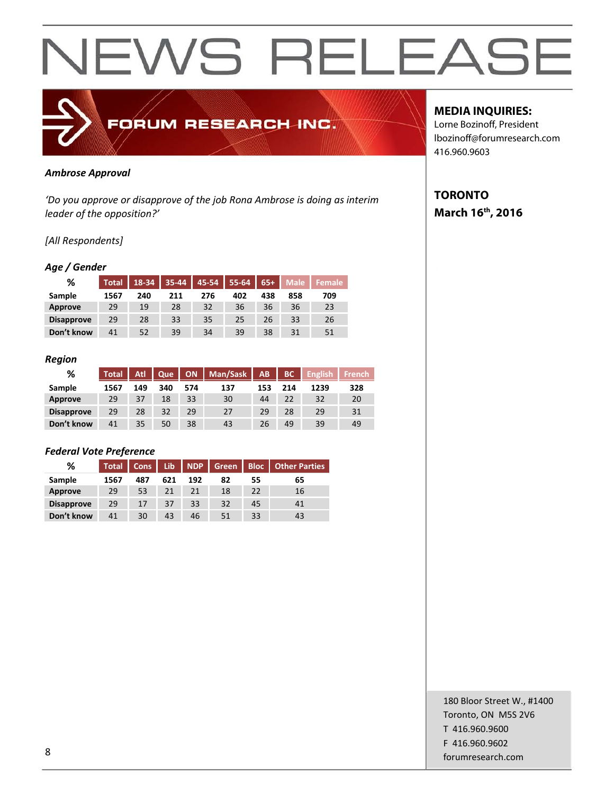

#### *Ambrose Approval*

*'Do you approve or disapprove of the job Rona Ambrose is doing as interim leader of the opposition?'*

#### *[All Respondents]*

#### *Age / Gender*

| %                 | <b>Total</b> | 18-34 | 35-44 | 45-54 | 55-64 | $65+$ | <b>Male</b> | <b>Female</b> |
|-------------------|--------------|-------|-------|-------|-------|-------|-------------|---------------|
| Sample            | 1567         | 240   | 211   | 276   | 402   | 438   | 858         | 709           |
| Approve           | 29           | 19    | 28    | 32    | 36    | 36    | 36          | 23            |
| <b>Disapprove</b> | 29           | 28    | 33    | 35    | 25    | 26    | 33          | 26            |
| Don't know        | 41           | 52    | 39    | 34    | 39    | 38    | 31          | 51            |

#### *Region*

| %                 | <b>Total</b> | Atl | Que | <b>ON</b> | Man/Sask | AB  | BC  | <b>English</b> | <b>French</b> |
|-------------------|--------------|-----|-----|-----------|----------|-----|-----|----------------|---------------|
| Sample            | 1567         | 149 | 340 | 574       | 137      | 153 | 214 | 1239           | 328           |
| Approve           | 29           | 37  | 18  | 33        | 30       | 44  | 22  | 32             | 20            |
| <b>Disapprove</b> | 29           | 28  | 32  | 29        | 27       | 29  | 28  | 29             | 31            |
| Don't know        | 41           | 35  | 50  | 38        | 43       | 26  | 49  | 39             | 49            |

#### *Federal Vote Preference*

| %                 | <b>Total</b> | Cons | Lib. | <b>NDP</b> | Green | <b>Bloc</b> | <b>Other Parties</b> |
|-------------------|--------------|------|------|------------|-------|-------------|----------------------|
| Sample            | 1567         | 487  | 621  | 192        | 82    | 55          | 65                   |
| Approve           | 29           | 53   | 21   | 21         | 18    | 22          | 16                   |
| <b>Disapprove</b> | 29           | 17   | 37   | 33         | 32    | 45          | 41                   |
| Don't know        | 41           | 30   | 43   | 46         | 51    | 33          | 43                   |

#### **MEDIA INQUIRIES:**

Lorne Bozinoff, President lbozinoff@forumresearch.com 416.960.9603

#### **TORONTO March 16th, 2016**

180 Bloor Street W., #1400 Toronto, ON M5S 2V6 T 416.960.9600 F 416.960.9602 end to the state of the state of the state of the state of the state of the state of the state of the state of the state of the state of the state of the state of the state of the state of the state of the state of the sta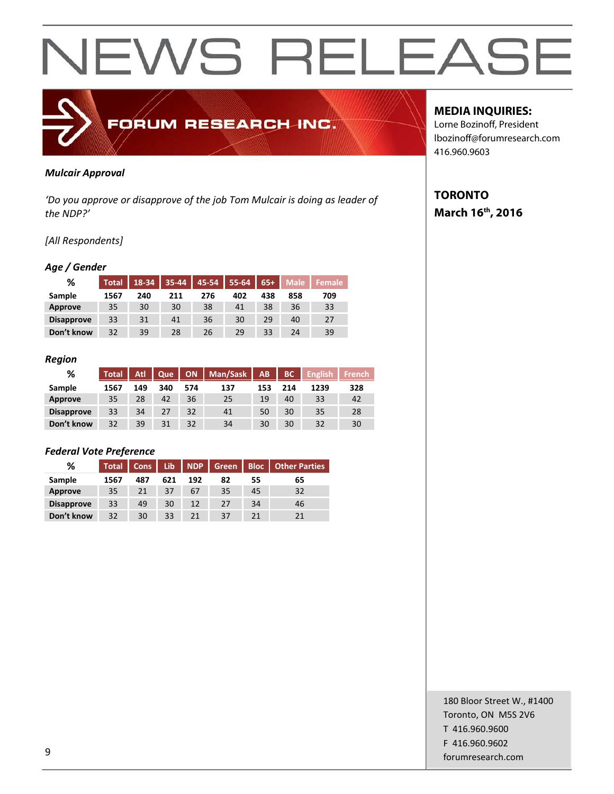

#### *Mulcair Approval*

*'Do you approve or disapprove of the job Tom Mulcair is doing as leader of the NDP?'*

#### *[All Respondents]*

#### *Age / Gender*

| %                 | <b>Total</b> | 18-34 | 35-44 | 45-54 | 55-64 | $65+$ | <b>Male</b> | Female |
|-------------------|--------------|-------|-------|-------|-------|-------|-------------|--------|
| Sample            | 1567         | 240   | 211   | 276   | 402   | 438   | 858         | 709    |
| Approve           | 35           | 30    | 30    | 38    | 41    | 38    | 36          | 33     |
| <b>Disapprove</b> | 33           | 31    | 41    | 36    | 30    | 29    | 40          | 27     |
| Don't know        | 32           | 39    | 28    | 26    | 29    | 33    | 24          | 39     |

#### *Region*

| %                 | Total | <b>Atl</b> | Que |     | ON   Man/Sask   AB |     | BC  | <b>English</b> | <b>French</b> |
|-------------------|-------|------------|-----|-----|--------------------|-----|-----|----------------|---------------|
| Sample            | 1567  | 149        | 340 | 574 | 137                | 153 | 214 | 1239           | 328           |
| Approve           | 35    | 28         | 42  | 36  | 25                 | 19  | 40  | 33             | 42            |
| <b>Disapprove</b> | 33    | 34         | 27  | 32  | 41                 | 50  | 30  | 35             | 28            |
| Don't know        | 32    | 39         | 31  | 32  | 34                 | 30  | 30  | 32             | 30            |

#### *Federal Vote Preference*

| %                 | <b>Total</b> | Cons | Lib | <b>NDP</b> | Green | <b>Bloc</b> | <b>Other Parties</b> |
|-------------------|--------------|------|-----|------------|-------|-------------|----------------------|
| Sample            | 1567         | 487  | 621 | 192        | 82    | 55          | 65                   |
| Approve           | 35           | 21   | 37  | 67         | 35    | 45          | 32                   |
| <b>Disapprove</b> | 33           | 49   | 30  | 12         | 27    | 34          | 46                   |
| Don't know        | 32           | 30   | 33  | 21         | 37    | 21          | 21                   |

#### **MEDIA INQUIRIES:**

Lorne Bozinoff, President lbozinoff@forumresearch.com 416.960.9603

#### **TORONTO March 16th, 2016**

180 Bloor Street W., #1400 Toronto, ON M5S 2V6 T 416.960.9600 F 416.960.9602 end the state of the state of the state of the state of the state of the state of the state of the state of the state of the state of the state of the state of the state of the state of the state of the state of the state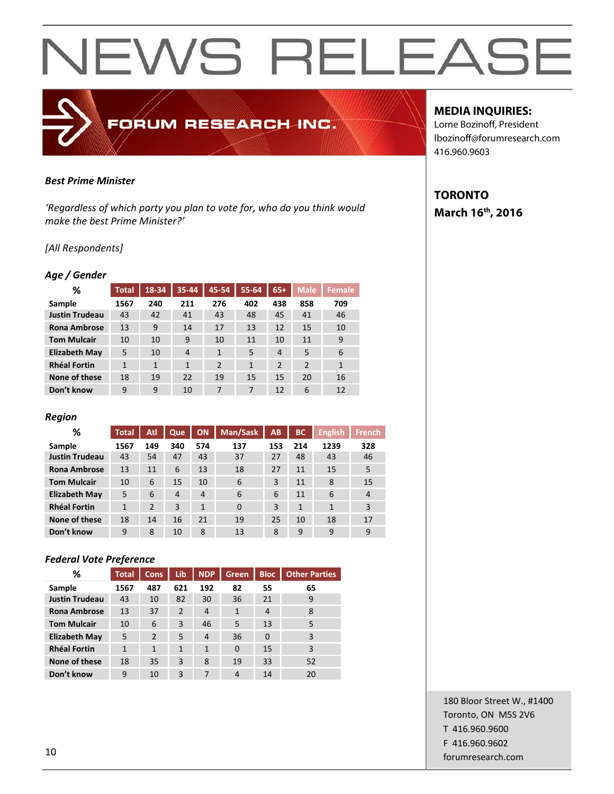### FORUM RESEARCH INC.

#### *Best Prime Minister*

*'Regardless of which party you plan to vote for, who do you think would make the best Prime Minister?'*

#### *[All Respondents]*

#### *Age / Gender*

| %                     | <b>Total</b> | 18-34        | 35-44        | 45-54          | $55 - 64$    | $65+$          | <b>Male</b>    | Female       |
|-----------------------|--------------|--------------|--------------|----------------|--------------|----------------|----------------|--------------|
| Sample                | 1567         | 240          | 211          | 276            | 402          | 438            | 858            | 709          |
| <b>Justin Trudeau</b> | 43           | 42           | 41           | 43             | 48           | 45             | 41             | 46           |
| <b>Rona Ambrose</b>   | 13           | 9            | 14           | 17             | 13           | 12             | 15             | 10           |
| <b>Tom Mulcair</b>    | 10           | 10           | 9            | 10             | 11           | 10             | 11             | 9            |
| <b>Elizabeth May</b>  | 5            | 10           | 4            | $\mathbf{1}$   | 5            | 4              | 5              | 6            |
| <b>Rhéal Fortin</b>   | $\mathbf{1}$ | $\mathbf{1}$ | $\mathbf{1}$ | $\overline{2}$ | $\mathbf{1}$ | $\overline{2}$ | $\overline{2}$ | $\mathbf{1}$ |
| None of these         | 18           | 19           | 22           | 19             | 15           | 15             | 20             | 16           |
| Don't know            | 9            | 9            | 10           | 7              | 7            | 12             | 6              | 12           |

#### *Region*

| %                     | <b>Total</b> | Atl            | Que | ON           | Man/Sask | AB  | <b>BC</b>    | <b>English</b> | <b>French</b>  |
|-----------------------|--------------|----------------|-----|--------------|----------|-----|--------------|----------------|----------------|
| Sample                | 1567         | 149            | 340 | 574          | 137      | 153 | 214          | 1239           | 328            |
| <b>Justin Trudeau</b> | 43           | 54             | 47  | 43           | 37       | 27  | 48           | 43             | 46             |
| <b>Rona Ambrose</b>   | 13           | 11             | 6   | 13           | 18       | 27  | 11           | 15             | 5              |
| <b>Tom Mulcair</b>    | 10           | 6              | 15  | 10           | 6        | 3   | 11           | 8              | 15             |
| <b>Elizabeth May</b>  | 5            | 6              | 4   | 4            | 6        | 6   | 11           | 6              | $\overline{4}$ |
| <b>Rhéal Fortin</b>   | $\mathbf{1}$ | $\overline{2}$ | 3   | $\mathbf{1}$ | $\Omega$ | 3   | $\mathbf{1}$ | 1              | 3              |
| None of these         | 18           | 14             | 16  | 21           | 19       | 25  | 10           | 18             | 17             |
| Don't know            | 9            | 8              | 10  | 8            | 13       | 8   | 9            | 9              | 9              |

#### *Federal Vote Preference*

| ℅                     | Total        | <b>Cons</b>    | Lib          | <b>NDP</b>     | <b>Green</b> | <b>Bloc</b> | <b>Other Parties</b> |
|-----------------------|--------------|----------------|--------------|----------------|--------------|-------------|----------------------|
| Sample                | 1567         | 487            | 621          | 192            | 82           | 55          | 65                   |
| <b>Justin Trudeau</b> | 43           | 10             | 82           | 30             | 36           | 21          | 9                    |
| <b>Rona Ambrose</b>   | 13           | 37             | 2            | $\overline{4}$ | 1            | 4           | 8                    |
| <b>Tom Mulcair</b>    | 10           | 6              | 3            | 46             | 5            | 13          | 5                    |
| <b>Elizabeth May</b>  | 5            | $\overline{2}$ | 5            | $\overline{4}$ | 36           | $\Omega$    | 3                    |
| <b>Rhéal Fortin</b>   | $\mathbf{1}$ | $\mathbf{1}$   | $\mathbf{1}$ | 1              | $\mathbf 0$  | 15          | 3                    |
| None of these         | 18           | 35             | 3            | 8              | 19           | 33          | 52                   |
| Don't know            | 9            | 10             | 3            | 7              | 4            | 14          | 20                   |

#### **MEDIA INQUIRIES:**

Lorne Bozinoff, President lbozinoff@forumresearch.com 416.960.9603

#### **TORONTO March 16th, 2016**

180 Bloor Street W., #1400 Toronto, ON M5S 2V6 T 416.960.9600 F 416.960.9602 example to the contract of the contract of the contract of the contract of the contract of the contract of the contract of the contract of the contract of the contract of the contract of the contract of the contract of the